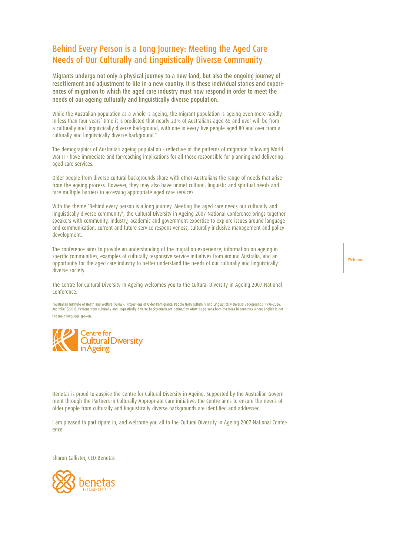# Behind Every Person is a Long Journey: Meeting the Aged Care Needs of Our Culturally and Linguistically Diverse Community

Migrants undergo not only a physical journey to a new land, but also the ongoing journey of resettlement and adjustment to life in a new country. It is these individual stories and experiences of migration to which the aged care industry must now respond in order to meet the needs of our ageing culturally and linguistically diverse population.

While the Australian population as a whole is ageing, the migrant population is ageing even more rapidly. In less than four years' time it is predicted that nearly 23% of Australians aged 65 and over will be from a culturally and linguistically diverse background, with one in every five people aged 80 and over from a culturally and linguistically diverse background.<sup>\*</sup>

The demographics of Australia's ageing population - reflective of the patterns of migration following World War II - have immediate and far-reaching implications for all those responsible for planning and delivering aged care services.

Older people from diverse cultural backgrounds share with other Australians the range of needs that arise from the ageing process. However, they may also have unmet cultural, linguistic and spiritual needs and face multiple barriers in accessing appropriate aged care services.

With the theme 'Behind every person is a long journey. Meeting the aged care needs our culturally and linguistically diverse community', the Cultural Diversity in Ageing 2007 National Conference brings together speakers with community, industry, academic and government expertise to explore issues around language and communication, current and future service responsiveness, culturally inclusive management and policy development.

The conference aims to provide an understanding of the migration experience, information on ageing in specific communities, examples of culturally responsive service initiatives from around Australia, and an opportunity for the aged care industry to better understand the needs of our culturally and linguistically diverse society.

The Centre for Cultural Diversity in Ageing welcomes you to the Cultural Diversity in Ageing 2007 National Conference.

"Australian Institute of Heath and Welfare (AIHW): 'Projections of Older Immigrants: People from Culturally and Linguistically Diverse Backgrounds, 1996-2026,<br>Australia' (2001). Persons from culturally and linguistically d the main language spoken.



Benetas is proud to auspice the Centre for Cultural Diversity in Ageing. Supported by the Australian Government through the Partners in Culturally Appropriate Care initiative, the Centre aims to ensure the needs of older people from culturally and linguistically diverse backgrounds are identified and addressed.

I am pleased to participate in, and welcome you all to the Cultural Diversity in Ageing 2007 National Conference.

Sharon Callister, CEO Benetas



1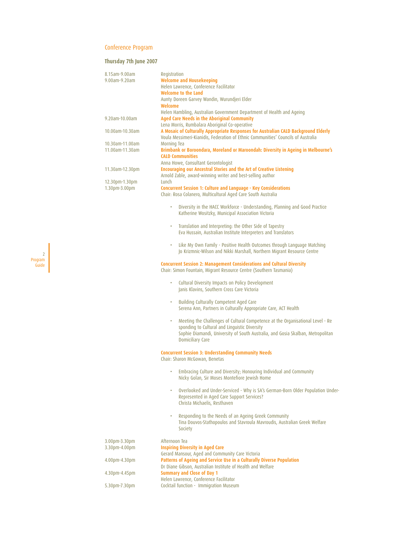#### Conference Program

#### **Thursday 7th June 2007**

2 Program Guide

| 8.15am-9.00am      | Registration                                                                        |
|--------------------|-------------------------------------------------------------------------------------|
| 9.00am-9.20am      | <b>Welcome and Housekeeping</b>                                                     |
|                    | Helen Lawrence, Conference Facilitator                                              |
|                    | Welcome to the Land                                                                 |
|                    | Aunty Doreen Garvey Wandin, Wurundjeri Elder                                        |
|                    | Welcome                                                                             |
|                    | Helen Hambling, Australian Government Department of Health and Ageing               |
| 9.20am-10.00am     | Aged Care Needs in the Aboriginal Community                                         |
|                    | Lena Morris, Rumbalara Aboriginal Co-operative                                      |
| $10.00$ am-10.30am | A Mosaic of Culturally Appropriate Responses for Australian CALD Background Elderly |
|                    | Voula Messimeri-Kianidis, Federation of Ethnic Communities' Councils of Australia   |
| 10.30am-11.00am    | Morning Tea                                                                         |
| 11.00am-11.30am    | Brimbank or Boroondara, Moreland or Maroondah: Diversity in Ageing in Melbourne's   |
|                    | <b>CALD Communities</b>                                                             |
|                    | Anna Howe, Consultant Gerontologist                                                 |
| 11.30am-12.30pm    | <b>Encouraging our Ancestral Stories and the Art of Creative Listening</b>          |
|                    | Arnold Zable, award-winning writer and best-selling author                          |
| 12.30pm-1.30pm     | Lunch                                                                               |
| 1.30pm-3.00pm      | <b>Concurrent Session 1: Culture and Language - Key Considerations</b>              |
|                    | Chair: Rosa Colanero, Multicultural Aged Care South Australia                       |
|                    |                                                                                     |

- Diversity in the HACC Workforce Understanding, Planning and Good Practice Katherine Wositzky, Municipal Association Victoria
- Translation and Interpreting: the Other Side of Tapestry Eva Hussain, Australian Institute Interpreters and Translators
- Like My Own Family Positive Health Outcomes through Language Matching Jo Krizmnic-Wilson and Nikki Marshall, Northern Migrant Resource Centre

#### **Concurrent Session 2: Management Considerations and Cultural Diversity**

Chair: Simon Fountain, Migrant Resource Centre (Southern Tasmania)

- Cultural Diversity Impacts on Policy Development Janis Klavins, Southern Cross Care Victoria
- Building Culturally Competent Aged Care Serena Ann, Partners in Culturally Appropriate Care, ACT Health
- Meeting the Challenges of Cultural Competence at the Organisational Level Re sponding to Cultural and Linguistic Diversity Sophie Diamandi, University of South Australia, and Gosia Skalban, Metropolitan Domiciliary Care

#### **Concurrent Session 3: Understanding Community Needs**

Chair: Sharon McGowan, Benetas

- Embracing Culture and Diversity; Honouring Individual and Community Nicky Golan, Sir Moses Montefiore Jewish Home
- Overlooked and Under-Serviced Why is SA's German-Born Older Population Under-Represented in Aged Care Support Services? Christa Michaelis, Resthaven
- Responding to the Needs of an Ageing Greek Community Tina Douvos-Stathopoulos and Stavroula Mavroudis, Australian Greek Welfare Society

| 3.00pm-3.30pm | Afternoon Tea                                                         |
|---------------|-----------------------------------------------------------------------|
| 3.30pm-4.00pm | <b>Inspiring Diversity in Aged Care</b>                               |
|               | Gerard Mansour, Aged and Community Care Victoria                      |
| 4.00pm-4.30pm | Patterns of Ageing and Service Use in a Culturally Diverse Population |
|               | Dr Diane Gibson, Australian Institute of Health and Welfare           |
| 4.30pm-4.45pm | <b>Summary and Close of Day 1</b>                                     |
|               | Helen Lawrence, Conference Facilitator                                |
| 5.30pm-7.30pm | Cocktail function - Immigration Museum                                |
|               |                                                                       |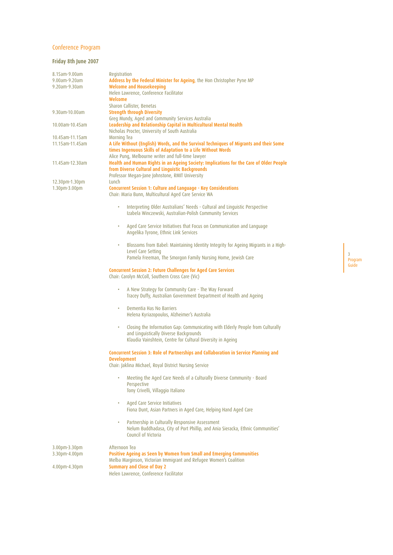# Conference Program

# **Friday 8th June 2007**

| 8.15am-9.00am                  | Registration                                                                                                                                                                                                |
|--------------------------------|-------------------------------------------------------------------------------------------------------------------------------------------------------------------------------------------------------------|
| 9.00am-9.20am                  | Address by the Federal Minister for Ageing, the Hon Christopher Pyne MP                                                                                                                                     |
| 9.20am-9.30am                  | <b>Welcome and Housekeeping</b>                                                                                                                                                                             |
|                                | Helen Lawrence, Conference Facilitator<br>Welcome                                                                                                                                                           |
|                                |                                                                                                                                                                                                             |
| 9.30am-10.00am                 | Sharon Callister, Benetas<br><b>Strength through Diversity</b>                                                                                                                                              |
|                                | Greg Mundy, Aged and Community Services Australia                                                                                                                                                           |
| 10.00am-10.45am                | Leadership and Relationship Capital in Multicultural Mental Health<br>Nicholas Procter, University of South Australia                                                                                       |
| 10.45am-11.15am                | Morning Tea                                                                                                                                                                                                 |
| 11.15am-11.45am                | A Life Without (English) Words, and the Survival Techniques of Migrants and their Some<br>times Ingenuous Skills of Adaptation to a Life Without Words<br>Alice Pung, Melbourne writer and full-time lawyer |
| 11.45am-12.30am                | Health and Human Rights in an Ageing Society: Implications for the Care of Older People<br>from Diverse Cultural and Linguistic Backgrounds                                                                 |
|                                | Professor Megan-Jane Johnstone, RMIT University                                                                                                                                                             |
| 12.30pm-1.30pm                 | Lunch                                                                                                                                                                                                       |
| 1.30pm-3.00pm                  | <b>Concurrent Session 1: Culture and Language - Key Considerations</b><br>Chair: Maria Bunn, Multicultural Aged Care Service WA                                                                             |
|                                | Interpreting Older Australians' Needs - Cultural and Linguistic Perspective<br>۰<br>Izabela Winczewski, Australian-Polish Community Services                                                                |
|                                | Aged Care Service Initiatives that Focus on Communication and Language<br>٠<br>Angelika Tyrone, Ethnic Link Services                                                                                        |
|                                | Blossoms from Babel: Maintaining Identity Integrity for Ageing Migrants in a High-<br>٠<br>Level Care Setting                                                                                               |
|                                | Pamela Freeman, The Smorgon Family Nursing Home, Jewish Care                                                                                                                                                |
|                                | <b>Concurrent Session 2: Future Challenges for Aged Care Services</b><br>Chair: Carolyn McColl, Southern Cross Care (Vic)                                                                                   |
|                                | A New Strategy for Community Care - The Way Forward<br>٠<br>Tracey Duffy, Australian Government Department of Health and Ageing                                                                             |
|                                | Dementia Has No Barriers<br>٠<br>Helena Kyriazopoulos, Alzheimer's Australia                                                                                                                                |
|                                | Closing the Information Gap: Communicating with Elderly People from Culturally<br>٠<br>and Linguistically Diverse Backgrounds<br>Klaudia Vainshtein, Centre for Cultural Diversity in Ageing                |
|                                | <b>Concurrent Session 3: Role of Partnerships and Collaboration in Service Planning and</b><br><b>Development</b>                                                                                           |
|                                | Chair: Jaklina Michael, Royal District Nursing Service                                                                                                                                                      |
|                                | Meeting the Aged Care Needs of a Culturally Diverse Community - Board<br>Perspective<br>Tony Crivelli, Villaggio Italiano                                                                                   |
|                                | Aged Care Service Initiatives<br>$\bullet$<br>Fiona Dunt, Asian Partners in Aged Care, Helping Hand Aged Care                                                                                               |
|                                | Partnership in Culturally Responsive Assessment<br>٠<br>Nelum Buddhadasa, City of Port Phillip, and Ania Sieracka, Ethnic Communities'<br>Council of Victoria                                               |
| 3.00pm-3.30pm<br>3.30pm-4.00pm | Afternoon Tea<br>Positive Ageing as Seen by Women from Small and Emerging Communities                                                                                                                       |
| 4.00pm-4.30pm                  | Melba Marginson, Victorian Immigrant and Refugee Women's Coalition<br><b>Summary and Close of Day 2</b>                                                                                                     |
|                                | Helen Lawrence, Conference Facilitator                                                                                                                                                                      |
|                                |                                                                                                                                                                                                             |

3 Program Guide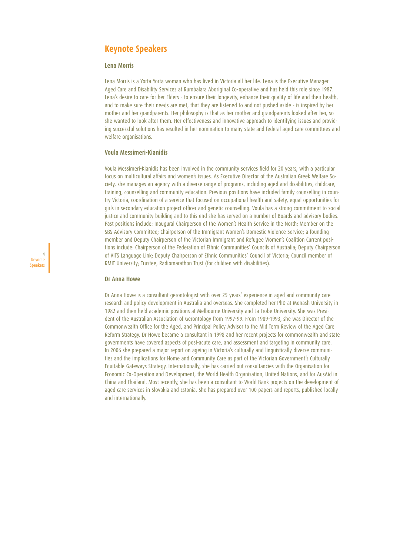# **Keynote Speakers**

#### **Lena Morris**

Lena Morris is a Yorta Yorta woman who has lived in Victoria all her life. Lena is the Executive Manager Aged Care and Disability Services at Rumbalara Aboriginal Co-operative and has held this role since 1987. Lena's desire to care for her Elders - to ensure their longevity, enhance their quality of life and their health, and to make sure their needs are met, that they are listened to and not pushed aside - is inspired by her mother and her grandparents. Her philosophy is that as her mother and grandparents looked after her, so she wanted to look after them. Her effectiveness and innovative approach to identifying issues and providing successful solutions has resulted in her nomination to many state and federal aged care committees and welfare organisations.

#### **Voula Messimeri-Kianidis**

Voula Messimeri-Kianidis has been involved in the community services field for 20 years, with a particular focus on multicultural affairs and women's issues. As Executive Director of the Australian Greek Welfare Society, she manages an agency with a diverse range of programs, including aged and disabilities, childcare, training, counselling and community education. Previous positions have included family counselling in country Victoria, coordination of a service that focused on occupational health and safety, equal opportunities for girls in secondary education project officer and genetic counselling. Voula has a strong commitment to social justice and community building and to this end she has served on a number of Boards and advisory bodies. Past positions include: Inaugural Chairperson of the Women's Health Service in the North; Member on the SBS Advisory Committee; Chairperson of the Immigrant Women's Domestic Violence Service; a founding member and Deputy Chairperson of the Victorian Immigrant and Refugee Women's Coalition Current positions include: Chairperson of the Federation of Ethnic Communities' Councils of Australia; Deputy Chairperson of VITS Language Link; Deputy Chairperson of Ethnic Communities' Council of Victoria; Council member of RMIT University; Trustee, Radiomarathon Trust (for children with disabilities).

#### **Dr Anna Howe**

4 Keynote Speakers

> Dr Anna Howe is a consultant gerontologist with over 25 years' experience in aged and community care research and policy development in Australia and overseas. She completed her PhD at Monash University in 1982 and then held academic positions at Melbourne University and La Trobe University. She was President of the Australian Association of Gerontology from 1997-99. From 1989-1993, she was Director of the Commonwealth Office for the Aged, and Principal Policy Advisor to the Mid Term Review of the Aged Care Reform Strategy. Dr Howe became a consultant in 1998 and her recent projects for commonwealth and state governments have covered aspects of post-acute care, and assessment and targeting in community care. In 2006 she prepared a major report on ageing in Victoria's culturally and linguistically diverse communities and the implications for Home and Community Care as part of the Victorian Government's Culturally Equitable Gateways Strategy. Internationally, she has carried out consultancies with the Organisation for Economic Co-Operation and Development, the World Health Organisation, United Nations, and for AusAid in China and Thailand. Most recently, she has been a consultant to World Bank projects on the development of aged care services in Slovakia and Estonia. She has prepared over 100 papers and reports, published locally and internationally.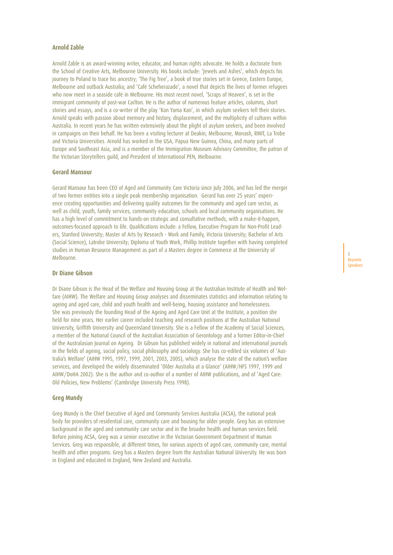### **Arnold Zable**

Arnold Zable is an award-winning writer, educator, and human rights advocate. He holds a doctorate from the School of Creative Arts, Melbourne University. His books include: 'Jewels and Ashes', which depicts his journey to Poland to trace his ancestry; 'The Fig Tree', a book of true stories set in Greece, Eastern Europe, Melbourne and outback Australia; and 'Café Scheherazade', a novel that depicts the lives of former refugees who now meet in a seaside café in Melbourne. His most recent novel, 'Scraps of Heaven', is set in the immigrant community of post-war Carlton. He is the author of numerous feature articles, columns, short stories and essays, and is a co-writer of the play 'Kan Yama Kan', in which asylum seekers tell their stories. Arnold speaks with passion about memory and history, displacement, and the multiplicity of cultures within Australia. In recent years he has written extensively about the plight of asylum seekers, and been involved in campaigns on their behalf. He has been a visiting lecturer at Deakin, Melbourne, Monash, RMIT, La Trobe and Victoria Universities. Arnold has worked in the USA, Papua New Guinea, China, and many parts of Europe and Southeast Asia, and is a member of the Immigration Museum Advisory Committee, the patron of the Victorian Storytellers guild, and President of International PEN, Melbourne.

#### **Gerard Mansour**

Gerard Mansour has been CEO of Aged and Community Care Victoria since July 2006, and has led the merger of two former entities into a single peak membership organisation. Gerard has over 25 years' experience creating opportunities and delivering quality outcomes for the community and aged care sector, as well as child, youth, family services, community education, schools and local community organisations. He has a high level of commitment to hands-on strategic and consultative methods, with a make-it-happen, outcomes-focused approach to life. Qualifications include: a Fellow, Executive Program for Non-Profit Leaders, Stanford University; Master of Arts by Research - Work and Family, Victoria University; Bachelor of Arts (Social Science), Latrobe University; Diploma of Youth Work, Phillip Institute together with having completed studies in Human Resource Management as part of a Masters degree in Commerce at the University of Melbourne.

#### **Dr Diane Gibson**

Dr Diane Gibson is the Head of the Welfare and Housing Group at the Australian Institute of Health and Welfare (AIHW). The Welfare and Housing Group analyses and disseminates statistics and information relating to ageing and aged care, child and youth health and well-being, housing assistance and homelessness. She was previously the founding Head of the Ageing and Aged Care Unit at the Institute, a position she held for nine years. Her earlier career included teaching and research positions at the Australian National University, Griffith University and Queensland University. She is a Fellow of the Academy of Social Sciences, a member of the National Council of the Australian Association of Gerontology and a former Editor-in-Chief of the Australasian Journal on Ageing. Dr Gibson has published widely in national and international journals in the fields of ageing, social policy, social philosophy and sociology. She has co-edited six volumes of 'Australia's Welfare' (AIHW 1995, 1997, 1999, 2001, 2003, 2005), which analyse the state of the nation's welfare services, and developed the widely disseminated 'Older Australia at a Glance' (AIHW/HFS 1997, 1999 and AIHW/DoHA 2002). She is the author and co-author of a number of AIHW publications, and of 'Aged Care: Old Policies, New Problems' (Cambridge University Press 1998).

#### **Greg Mundy**

Greg Mundy is the Chief Executive of Aged and Community Services Australia (ACSA), the national peak body for providers of residential care, community care and housing for older people. Greg has an extensive background in the aged and community care sector and in the broader health and human services field. Before joining ACSA, Greg was a senior executive in the Victorian Government Department of Human Services. Greg was responsible, at different times, for various aspects of aged care, community care, mental health and other programs. Greg has a Masters degree from the Australian National University. He was born in England and educated in England, New Zealand and Australia.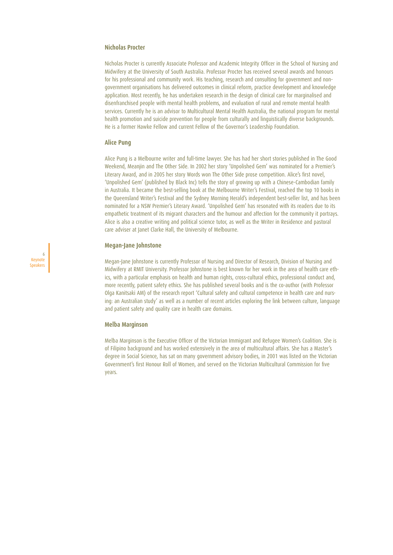### **Nicholas Procter**

Nicholas Procter is currently Associate Professor and Academic Integrity Officer in the School of Nursing and Midwifery at the University of South Australia. Professor Procter has received several awards and honours for his professional and community work. His teaching, research and consulting for government and nongovernment organisations has delivered outcomes in clinical reform, practice development and knowledge application. Most recently, he has undertaken research in the design of clinical care for marginalised and disenfranchised people with mental health problems, and evaluation of rural and remote mental health services. Currently he is an advisor to Multicultural Mental Health Australia, the national program for mental health promotion and suicide prevention for people from culturally and linguistically diverse backgrounds. He is a former Hawke Fellow and current Fellow of the Governor's Leadership Foundation.

#### **Alice Pung**

Alice Pung is a Melbourne writer and full-time lawyer. She has had her short stories published in The Good Weekend, Meanjin and The Other Side. In 2002 her story 'Unpolished Gem' was nominated for a Premier's Literary Award, and in 2005 her story Words won The Other Side prose competition. Alice's first novel, 'Unpolished Gem' (published by Black Inc) tells the story of growing up with a Chinese-Cambodian family in Australia. It became the best-selling book at the Melbourne Writer's Festival, reached the top 10 books in the Queensland Writer's Festival and the Sydney Morning Herald's independent best-seller list, and has been nominated for a NSW Premier's Literary Award. 'Unpolished Gem' has resonated with its readers due to its empathetic treatment of its migrant characters and the humour and affection for the community it portrays. Alice is also a creative writing and political science tutor, as well as the Writer in Residence and pastoral care adviser at Janet Clarke Hall, the University of Melbourne.

#### **Megan-Jane Johnstone**

6 Keynote Speakers

Megan-Jane Johnstone is currently Professor of Nursing and Director of Research, Division of Nursing and Midwifery at RMIT University. Professor Johnstone is best known for her work in the area of health care ethics, with a particular emphasis on health and human rights, cross-cultural ethics, professional conduct and, more recently, patient safety ethics. She has published several books and is the co-author (with Professor Olga Kanitsaki AM) of the research report 'Cultural safety and cultural competence in health care and nursing: an Australian study' as well as a number of recent articles exploring the link between culture, language and patient safety and quality care in health care domains.

#### **Melba Marginson**

Melba Marginson is the Executive Officer of the Victorian Immigrant and Refugee Women's Coalition. She is of Filipino background and has worked extensively in the area of multicultural affairs. She has a Master's degree in Social Science, has sat on many government advisory bodies, in 2001 was listed on the Victorian Government's first Honour Roll of Women, and served on the Victorian Multicultural Commission for five years.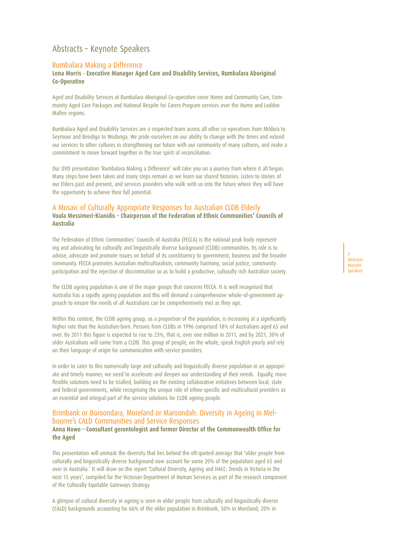# Abstracts – Keynote Speakers

### Rumbalara Making a Difference

#### **Lena Morris** – **Executive Manager Aged Care and Disability Services, Rumbalara Aboriginal Co-Operative**

Aged and Disability Services at Rumbalara Aboriginal Co-operative cover Home and Community Care, Community Aged Care Packages and National Respite for Carers Program services over the Hume and Loddon Mallee regions.

Rumbalara Aged and Disability Services are a respected team across all other co-operatives from Mildura to Seymour and Bendigo to Wodonga. We pride ourselves on our ability to change with the times and extend our services to other cultures in strengthening our future with our community of many cultures, and make a commitment to move forward together in the true spirit of reconciliation.

Our DVD presentation 'Rumbalara Making a Difference' will take you on a journey from where it all began. Many steps have been taken and many steps remain as we learn our shared histories. Listen to stories of our Elders past and present, and services providers who walk with us into the future where they will have the opportunity to achieve their full potential.

## A Mosaic of Culturally Appropriate Responses for Australian CLDB Elderly **Voula Messimeri-Kianidis – Chairperson of the Federation of Ethnic Communities' Councils of Australia**

The Federation of Ethnic Communities' Councils of Australia (FECCA) is the national peak body representing and advocating for culturally and linguistically diverse background (CLDB) communities. Its role is to advise, advocate and promote issues on behalf of its constituency to government, business and the broader community. FECCA promotes Australian multiculturalism, community harmony, social justice, community participation and the rejection of discrimination so as to build a productive, culturally rich Australian society.

The CLDB ageing population is one of the major groups that concerns FECCA. It is well recognised that Australia has a rapidly ageing population and this will demand a comprehensive whole-of-government approach to ensure the needs of all Australians can be comprehensively met as they age.

Within this context, the CLDB ageing group, as a proportion of the population, is increasing at a significantly higher rate than the Australian-born. Persons from CLDBs in 1996 comprised 18% of Australians aged 65 and over. By 2011 this figure is expected to rise to 23%, that is, over one million in 2011, and by 2021, 30% of older Australians will come from a CLDB. This group of people, on the whole, speak English poorly and rely on their language of origin for communication with service providers.

In order to cater to this numerically large and culturally and linguistically diverse population in an appropriate and timely manner, we need to accelerate and deepen our understanding of their needs. Equally, more flexible solutions need to be trialled, building on the existing collaborative initiatives between local, state and federal governments, while recognising the unique role of ethno-specific and multicultural providers as an essential and integral part of the service solutions for CLDB ageing people.

# Brimbank or Boroondara, Moreland or Maroondah: Diversity in Ageing in Mel- bourne's CALD Communities and Service Responses **Anna Howe – Consultant gerontologist and former Director of the Commonwealth Office for**

**the Aged**

This presentation will unmask the diversity that lies behind the oft-quoted average that 'older people from culturally and linguistically diverse background now account for some 20% of the population aged 65 and over in Australia.' It will draw on the report 'Cultural Diversity, Ageing and HACC: Trends in Victoria in the next 15 years', compiled for the Victorian Department of Human Services as part of the research component of the Culturally Equitable Gateways Strategy.

A glimpse of cultural diversity in ageing is seen in older people from culturally and linguistically diverse (CALD) backgrounds accounting for 66% of the older population in Brimbank, 50% in Moreland, 20% in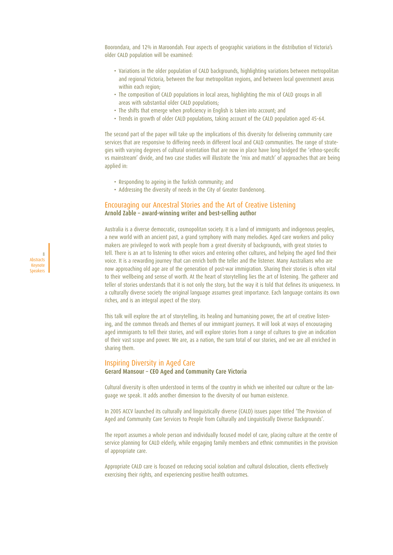Boorondara, and 12% in Maroondah. Four aspects of geographic variations in the distribution of Victoria's older CALD population will be examined:

- Variations in the older population of CALD backgrounds, highlighting variations between metropolitan and regional Victoria, between the four metropolitan regions, and between local government areas within each region;
- The composition of CALD populations in local areas, highlighting the mix of CALD groups in all areas with substantial older CALD populations;
- The shifts that emerge when proficiency in English is taken into account; and
- Trends in growth of older CALD populations, taking account of the CALD population aged 45-64.

The second part of the paper will take up the implications of this diversity for delivering community care services that are responsive to differing needs in different local and CALD communities. The range of strategies with varying degrees of cultural orientation that are now in place have long bridged the 'ethno-specific vs mainstream' divide, and two case studies will illustrate the 'mix and match' of approaches that are being applied in:

• Responding to ageing in the Turkish community; and

8 **Abstracts** Keynote Speakers • Addressing the diversity of needs in the City of Greater Dandenong.

### Encouraging our Ancestral Stories and the Art of Creative Listening **Arnold Zable – award-winning writer and best-selling author**

Australia is a diverse democratic, cosmopolitan society. It is a land of immigrants and indigenous peoples, a new world with an ancient past, a grand symphony with many melodies. Aged care workers and policy makers are privileged to work with people from a great diversity of backgrounds, with great stories to tell. There is an art to listening to other voices and entering other cultures, and helping the aged find their voice. It is a rewarding journey that can enrich both the teller and the listener. Many Australians who are now approaching old age are of the generation of post-war immigration. Sharing their stories is often vital to their wellbeing and sense of worth. At the heart of storytelling lies the art of listening. The gatherer and teller of stories understands that it is not only the story, but the way it is told that defines its uniqueness. In a culturally diverse society the original language assumes great importance. Each language contains its own riches, and is an integral aspect of the story.

This talk will explore the art of storytelling, its healing and humanising power, the art of creative listening, and the common threads and themes of our immigrant journeys. It will look at ways of encouraging aged immigrants to tell their stories, and will explore stories from a range of cultures to give an indication of their vast scope and power. We are, as a nation, the sum total of our stories, and we are all enriched in sharing them.

#### Inspiring Diversity in Aged Care **Gerard Mansour – CEO Aged and Community Care Victoria**

Cultural diversity is often understood in terms of the country in which we inherited our culture or the language we speak. It adds another dimension to the diversity of our human existence.

In 2005 ACCV launched its culturally and linguistically diverse (CALD) issues paper titled 'The Provision of Aged and Community Care Services to People from Culturally and Linguistically Diverse Backgrounds'.

The report assumes a whole person and individually focused model of care, placing culture at the centre of service planning for CALD elderly, while engaging family members and ethnic communities in the provision of appropriate care.

Appropriate CALD care is focused on reducing social isolation and cultural dislocation, clients effectively exercising their rights, and experiencing positive health outcomes.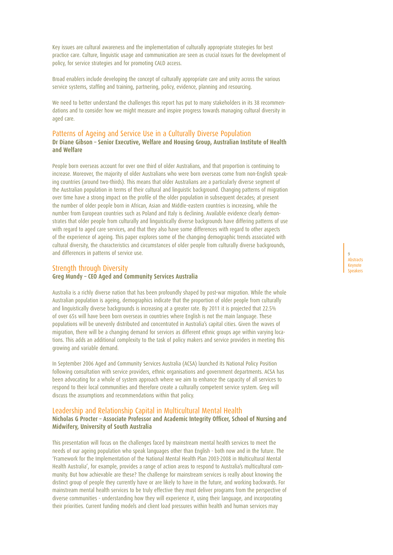Key issues are cultural awareness and the implementation of culturally appropriate strategies for best practice care. Culture, linguistic usage and communication are seen as crucial issues for the development of policy, for service strategies and for promoting CALD access.

Broad enablers include developing the concept of culturally appropriate care and unity across the various service systems, staffing and training, partnering, policy, evidence, planning and resourcing.

We need to better understand the challenges this report has put to many stakeholders in its 38 recommendations and to consider how we might measure and inspire progress towards managing cultural diversity in aged care.

## Patterns of Ageing and Service Use in a Culturally Diverse Population **Dr Diane Gibson – Senior Executive, Welfare and Housing Group, Australian Institute of Health and Welfare**

People born overseas account for over one third of older Australians, and that proportion is continuing to increase. Moreover, the majority of older Australians who were born overseas come from non-English speaking countries (around two-thirds). This means that older Australians are a particularly diverse segment of the Australian population in terms of their cultural and linguistic background. Changing patterns of migration over time have a strong impact on the profile of the older population in subsequent decades; at present the number of older people born in African, Asian and Middle-eastern countries is increasing, while the number from European countries such as Poland and Italy is declining. Available evidence clearly demonstrates that older people from culturally and linguistically diverse backgrounds have differing patterns of use with regard to aged care services, and that they also have some differences with regard to other aspects of the experience of ageing. This paper explores some of the changing demographic trends associated with cultural diversity, the characteristics and circumstances of older people from culturally diverse backgrounds, and differences in patterns of service use.

## Strength through Diversity **Greg Mundy – CEO Aged and Community Services Australia**

Australia is a richly diverse nation that has been profoundly shaped by post-war migration. While the whole Australian population is ageing, demographics indicate that the proportion of older people from culturally and linguistically diverse backgrounds is increasing at a greater rate. By 2011 it is projected that 22.5% of over 65s will have been born overseas in countries where English is not the main language. These populations will be unevenly distributed and concentrated in Australia's capital cities. Given the waves of migration, there will be a changing demand for services as different ethnic groups age within varying locations. This adds an additional complexity to the task of policy makers and service providers in meeting this growing and variable demand.

In September 2006 Aged and Community Services Australia (ACSA) launched its National Policy Position following consultation with service providers, ethnic organisations and government departments. ACSA has been advocating for a whole of system approach where we aim to enhance the capacity of all services to respond to their local communities and therefore create a culturally competent service system. Greg will discuss the assumptions and recommendations within that policy.

### Leadership and Relationship Capital in Multicultural Mental Health **Nicholas G Procter – Associate Professor and Academic Integrity Officer, School of Nursing and Midwifery, University of South Australia**

This presentation will focus on the challenges faced by mainstream mental health services to meet the needs of our ageing population who speak languages other than English - both now and in the future. The 'Framework for the Implementation of the National Mental Health Plan 2003-2008 in Multicultural Mental Health Australia', for example, provides a range of action areas to respond to Australia's multicultural community. But how achievable are these? The challenge for mainstream services is really about knowing the distinct group of people they currently have or are likely to have in the future, and working backwards. For mainstream mental health services to be truly effective they must deliver programs from the perspective of diverse communities - understanding how they will experience it, using their language, and incorporating their priorities. Current funding models and client load pressures within health and human services may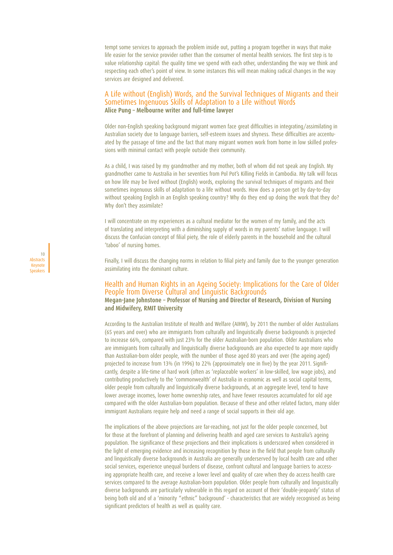tempt some services to approach the problem inside out, putting a program together in ways that make life easier for the service provider rather than the consumer of mental health services. The first step is to value relationship capital: the quality time we spend with each other, understanding the way we think and respecting each other's point of view. In some instances this will mean making radical changes in the way services are designed and delivered.

## A Life without (English) Words, and the Survival Techniques of Migrants and their Sometimes Ingenuous Skills of Adaptation to a Life without Words **Alice Pung – Melbourne writer and full-time lawyer**

Older non-English speaking background migrant women face great difficulties in integrating/assimilating in Australian society due to language barriers, self-esteem issues and shyness. These difficulties are accentuated by the passage of time and the fact that many migrant women work from home in low skilled professions with minimal contact with people outside their community.

As a child, I was raised by my grandmother and my mother, both of whom did not speak any English. My grandmother came to Australia in her seventies from Pol Pot's Killing Fields in Cambodia. My talk will focus on how life may be lived without (English) words, exploring the survival techniques of migrants and their sometimes ingenuous skills of adaptation to a life without words. How does a person get by day-to-day without speaking English in an English speaking country? Why do they end up doing the work that they do? Why don't they assimilate?

I will concentrate on my experiences as a cultural mediator for the women of my family, and the acts of translating and interpreting with a diminishing supply of words in my parents' native language. I will discuss the Confucian concept of filial piety, the role of elderly parents in the household and the cultural 'taboo' of nursing homes.

Finally, I will discuss the changing norms in relation to filial piety and family due to the younger generation assimilating into the dominant culture.

### Health and Human Rights in an Ageing Society: Implications for the Care of Older People from Diverse Cultural and Linguistic Backgrounds **Megan-Jane Johnstone – Professor of Nursing and Director of Research, Division of Nursing and Midwifery, RMIT University**

According to the Australian Institute of Health and Welfare (AIHW), by 2011 the number of older Australians (65 years and over) who are immigrants from culturally and linguistically diverse backgrounds is projected to increase 66%, compared with just 23% for the older Australian-born population. Older Australians who are immigrants from culturally and linguistically diverse backgrounds are also expected to age more rapidly than Australian-born older people, with the number of those aged 80 years and over (the ageing aged) projected to increase from 13% (in 1996) to 22% (approximately one in five) by the year 2011. Significantly, despite a life-time of hard work (often as 'replaceable workers' in low-skilled, low wage jobs), and contributing productively to the 'commonwealth' of Australia in economic as well as social capital terms, older people from culturally and linguistically diverse backgrounds, at an aggregate level, tend to have lower average incomes, lower home ownership rates, and have fewer resources accumulated for old age compared with the older Australian-born population. Because of these and other related factors, many older immigrant Australians require help and need a range of social supports in their old age.

The implications of the above projections are far-reaching, not just for the older people concerned, but for those at the forefront of planning and delivering health and aged care services to Australia's ageing population. The significance of these projections and their implications is underscored when considered in the light of emerging evidence and increasing recognition by those in the field that people from culturally and linguistically diverse backgrounds in Australia are generally underserved by local health care and other social services, experience unequal burdens of disease, confront cultural and language barriers to accessing appropriate health care, and receive a lower level and quality of care when they do access health care services compared to the average Australian-born population. Older people from culturally and linguistically diverse backgrounds are particularly vulnerable in this regard on account of their 'double-jeopardy' status of being both old and of a 'minority "ethnic" background' - characteristics that are widely recognised as being significant predictors of health as well as quality care.

10 **Abstracts** Keynote Speakers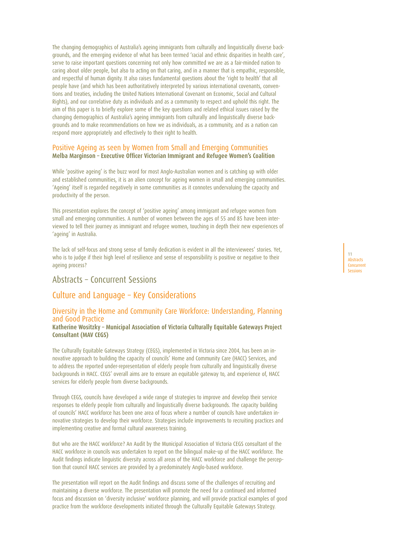The changing demographics of Australia's ageing immigrants from culturally and linguistically diverse backgrounds, and the emerging evidence of what has been termed 'racial and ethnic disparities in health care', serve to raise important questions concerning not only how committed we are as a fair-minded nation to caring about older people, but also to acting on that caring, and in a manner that is empathic, responsible, and respectful of human dignity. It also raises fundamental questions about the 'right to health' that all people have (and which has been authoritatively interpreted by various international covenants, conventions and treaties, including the United Nations International Covenant on Economic, Social and Cultural Rights), and our correlative duty as individuals and as a community to respect and uphold this right. The aim of this paper is to briefly explore some of the key questions and related ethical issues raised by the changing demographics of Australia's ageing immigrants from culturally and linguistically diverse backgrounds and to make recommendations on how we as individuals, as a community, and as a nation can respond more appropriately and effectively to their right to health.

#### Positive Ageing as seen by Women from Small and Emerging Communities **Melba Marginson – Executive Officer Victorian Immigrant and Refugee Women's Coalition**

While 'positive ageing' is the buzz word for most Anglo-Australian women and is catching up with older and established communities, it is an alien concept for ageing women in small and emerging communities. 'Ageing' itself is regarded negatively in some communities as it connotes undervaluing the capacity and productivity of the person.

This presentation explores the concept of 'positive ageing' among immigrant and refugee women from small and emerging communities. A number of women between the ages of 55 and 85 have been interviewed to tell their journey as immigrant and refugee women, touching in depth their new experiences of 'ageing' in Australia.

The lack of self-focus and strong sense of family dedication is evident in all the interviewees' stories. Yet, who is to judge if their high level of resilience and sense of responsibility is positive or negative to their ageing process?

# Abstracts – Concurrent Sessions

# Culture and Language – Key Considerations

# Diversity in the Home and Community Care Workforce: Understanding, Planning and Good Practice

**Katherine Wositzky – Municipal Association of Victoria Culturally Equitable Gateways Project Consultant (MAV CEGS)**

The Culturally Equitable Gateways Strategy (CEGS), implemented in Victoria since 2004, has been an innovative approach to building the capacity of councils' Home and Community Care (HACC) Services, and to address the reported under-representation of elderly people from culturally and linguistically diverse backgrounds in HACC. CEGS' overall aims are to ensure an equitable gateway to, and experience of, HACC services for elderly people from diverse backgrounds.

Through CEGS, councils have developed a wide range of strategies to improve and develop their service responses to elderly people from culturally and linguistically diverse backgrounds. The capacity building of councils' HACC workforce has been one area of focus where a number of councils have undertaken innovative strategies to develop their workforce. Strategies include improvements to recruiting practices and implementing creative and formal cultural awareness training.

But who are the HACC workforce? An Audit by the Municipal Association of Victoria CEGS consultant of the HACC workforce in councils was undertaken to report on the bilingual make-up of the HACC workforce. The Audit findings indicate linguistic diversity across all areas of the HACC workforce and challenge the perception that council HACC services are provided by a predominately Anglo-based workforce.

The presentation will report on the Audit findings and discuss some of the challenges of recruiting and maintaining a diverse workforce. The presentation will promote the need for a continued and informed focus and discussion on 'diversity inclusive' workforce planning, and will provide practical examples of good practice from the workforce developments initiated through the Culturally Equitable Gateways Strategy.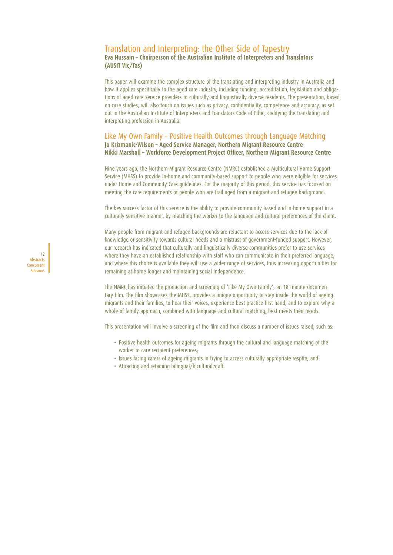### Translation and Interpreting: the Other Side of Tapestry **Eva Hussain – Chairperson of the Australian Institute of Interpreters and Translators (AUSIT Vic/Tas)**

This paper will examine the complex structure of the translating and interpreting industry in Australia and how it applies specifically to the aged care industry, including funding, accreditation, legislation and obligations of aged care service providers to culturally and linguistically diverse residents. The presentation, based on case studies, will also touch on issues such as privacy, confidentiality, competence and accuracy, as set out in the Australian Institute of Interpreters and Translators Code of Ethic, codifying the translating and interpreting profession in Australia.

### Like My Own Family – Positive Health Outcomes through Language Matching **Jo Krizmanic-Wilson – Aged Service Manager, Northern Migrant Resource Centre Nikki Marshall – Workforce Development Project Officer, Northern Migrant Resource Centre**

Nine years ago, the Northern Migrant Resource Centre (NMRC) established a Multicultural Home Support Service (MHSS) to provide in-home and community-based support to people who were eligible for services under Home and Community Care guidelines. For the majority of this period, this service has focused on meeting the care requirements of people who are frail aged from a migrant and refugee background.

The key success factor of this service is the ability to provide community based and in-home support in a culturally sensitive manner, by matching the worker to the language and cultural preferences of the client.

Many people from migrant and refugee backgrounds are reluctant to access services due to the lack of knowledge or sensitivity towards cultural needs and a mistrust of government-funded support. However, our research has indicated that culturally and linguistically diverse communities prefer to use services where they have an established relationship with staff who can communicate in their preferred language, and where this choice is available they will use a wider range of services, thus increasing opportunities for remaining at home longer and maintaining social independence.

The NMRC has initiated the production and screening of 'Like My Own Family', an 18-minute documentary film. The film showcases the MHSS, provides a unique opportunity to step inside the world of ageing migrants and their families, to hear their voices, experience best practice first hand, and to explore why a whole of family approach, combined with language and cultural matching, best meets their needs.

This presentation will involve a screening of the film and then discuss a number of issues raised, such as:

- Positive health outcomes for ageing migrants through the cultural and language matching of the worker to care recipient preferences;
- Issues facing carers of ageing migrants in trying to access culturally appropriate respite; and
- Attracting and retaining bilingual/bicultural staff.

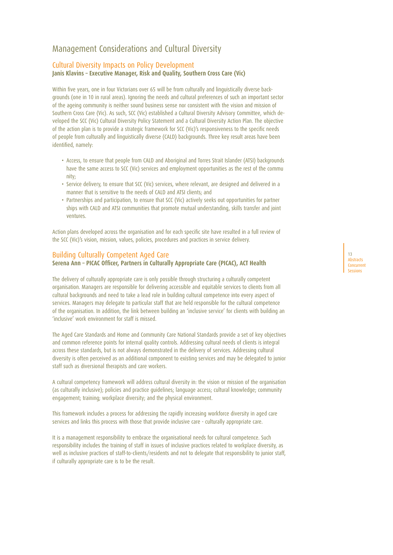# Management Considerations and Cultural Diversity

# Cultural Diversity Impacts on Policy Development

**Janis Klavins – Executive Manager, Risk and Quality, Southern Cross Care (Vic)**

Within five years, one in four Victorians over 65 will be from culturally and linguistically diverse backgrounds (one in 10 in rural areas). Ignoring the needs and cultural preferences of such an important sector of the ageing community is neither sound business sense nor consistent with the vision and mission of Southern Cross Care (Vic). As such, SCC (Vic) established a Cultural Diversity Advisory Committee, which developed the SCC (Vic) Cultural Diversity Policy Statement and a Cultural Diversity Action Plan. The objective of the action plan is to provide a strategic framework for SCC (Vic)'s responsiveness to the specific needs of people from culturally and linguistically diverse (CALD) backgrounds. Three key result areas have been identified, namely:

- Access, to ensure that people from CALD and Aboriginal and Torres Strait Islander (ATSI) backgrounds have the same access to SCC (Vic) services and employment opportunities as the rest of the commu nity;
- Service delivery, to ensure that SCC (Vic) services, where relevant, are designed and delivered in a manner that is sensitive to the needs of CALD and ATSI clients; and
- Partnerships and participation, to ensure that SCC (Vic) actively seeks out opportunities for partner ships with CALD and ATSI communities that promote mutual understanding, skills transfer and joint ventures.

Action plans developed across the organisation and for each specific site have resulted in a full review of the SCC (Vic)'s vision, mission, values, policies, procedures and practices in service delivery.

## Building Culturally Competent Aged Care

## **Serena Ann – PICAC Officer, Partners in Culturally Appropriate Care (PICAC), ACT Health**

The delivery of culturally appropriate care is only possible through structuring a culturally competent organisation. Managers are responsible for delivering accessible and equitable services to clients from all cultural backgrounds and need to take a lead role in building cultural competence into every aspect of services. Managers may delegate to particular staff that are held responsible for the cultural competence of the organisation. In addition, the link between building an 'inclusive service' for clients with building an 'inclusive' work environment for staff is missed.

The Aged Care Standards and Home and Community Care National Standards provide a set of key objectives and common reference points for internal quality controls. Addressing cultural needs of clients is integral across these standards, but is not always demonstrated in the delivery of services. Addressing cultural diversity is often perceived as an additional component to existing services and may be delegated to junior staff such as diversional therapists and care workers.

A cultural competency framework will address cultural diversity in: the vision or mission of the organisation (as culturally inclusive); policies and practice guidelines; language access; cultural knowledge; community engagement; training; workplace diversity; and the physical environment.

This framework includes a process for addressing the rapidly increasing workforce diversity in aged care services and links this process with those that provide inclusive care - culturally appropriate care.

It is a management responsibility to embrace the organisational needs for cultural competence. Such responsibility includes the training of staff in issues of inclusive practices related to workplace diversity, as well as inclusive practices of staff-to-clients/residents and not to delegate that responsibility to junior staff, if culturally appropriate care is to be the result.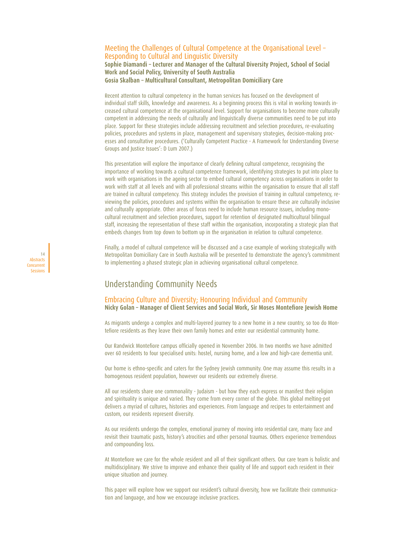### Meeting the Challenges of Cultural Competence at the Organisational Level – Responding to Cultural and Linguistic Diversity **Sophie Diamandi – Lecturer and Manager of the Cultural Diversity Project, School of Social Work and Social Policy, University of South Australia Gosia Skalban – Multicultural Consultant, Metropolitan Domiciliary Care**

Recent attention to cultural competency in the human services has focused on the development of individual staff skills, knowledge and awareness. As a beginning process this is vital in working towards increased cultural competence at the organisational level. Support for organisations to become more culturally competent in addressing the needs of culturally and linguistically diverse communities need to be put into place. Support for these strategies include addressing recruitment and selection procedures, re-evaluating policies, procedures and systems in place, management and supervisory strategies, decision-making processes and consultative procedures. ('Culturally Competent Practice - A Framework for Understanding Diverse Groups and Justice Issues': D Lum 2007.)

This presentation will explore the importance of clearly defining cultural competence, recognising the importance of working towards a cultural competence framework, identifying strategies to put into place to work with organisations in the ageing sector to embed cultural competency across organisations in order to work with staff at all levels and with all professional streams within the organisation to ensure that all staff are trained in cultural competency. This strategy includes the provision of training in cultural competency, reviewing the policies, procedures and systems within the organisation to ensure these are culturally inclusive and culturally appropriate. Other areas of focus need to include human resource issues, including monocultural recruitment and selection procedures, support for retention of designated multicultural bilingual staff, increasing the representation of these staff within the organisation, incorporating a strategic plan that embeds changes from top down to bottom up in the organisation in relation to cultural competence.

Finally, a model of cultural competence will be discussed and a case example of working strategically with Metropolitan Domiciliary Care in South Australia will be presented to demonstrate the agency's commitment to implementing a phased strategic plan in achieving organisational cultural competence.

# Understanding Community Needs

14 Abstracts Concurrent Sessions

### Embracing Culture and Diversity; Honouring Individual and Community **Nicky Golan – Manager of Client Services and Social Work, Sir Moses Montefiore Jewish Home**

As migrants undergo a complex and multi-layered journey to a new home in a new country, so too do Montefiore residents as they leave their own family homes and enter our residential community home.

Our Randwick Montefiore campus officially opened in November 2006. In two months we have admitted over 60 residents to four specialised units: hostel, nursing home, and a low and high-care dementia unit.

Our home is ethno-specific and caters for the Sydney Jewish community. One may assume this results in a homogenous resident population, however our residents our extremely diverse.

All our residents share one commonality - Judaism - but how they each express or manifest their religion and spirituality is unique and varied. They come from every corner of the globe. This global melting-pot delivers a myriad of cultures, histories and experiences. From language and recipes to entertainment and custom, our residents represent diversity.

As our residents undergo the complex, emotional journey of moving into residential care, many face and revisit their traumatic pasts, history's atrocities and other personal traumas. Others experience tremendous and compounding loss.

At Montefiore we care for the whole resident and all of their significant others. Our care team is holistic and multidisciplinary. We strive to improve and enhance their quality of life and support each resident in their unique situation and journey.

This paper will explore how we support our resident's cultural diversity, how we facilitate their communication and language, and how we encourage inclusive practices.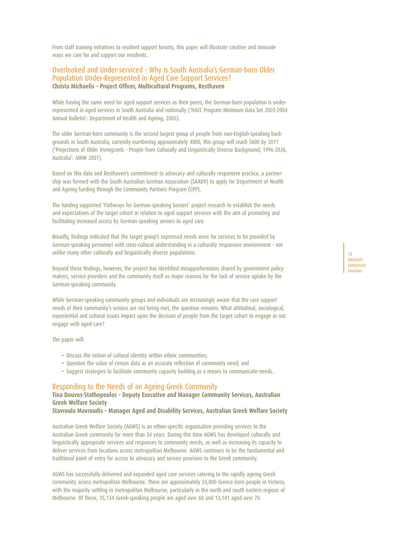From staff training initiatives to resident support forums, this paper will illustrate creative and innovate ways we care for and support our residents.

### Overlooked and Under-serviced - Why is South Australia's German-born Older Population Under-Represented in Aged Care Support Services? **Christa Michaelis – Project Officer, Multicultural Programs, Resthaven**

While having the same need for aged support services as their peers, the German-born population is underrepresented in aged services in South Australia and nationally ('HACC Program Minimum Data Set 2003-2004 Annual Bulletin': Department of Health and Ageing, 2005).

The older German-born community is the second largest group of people from non-English-speaking backgrounds in South Australia; currently numbering approximately 4000, this group will reach 5600 by 2011 ('Projections of Older Immigrants - People from Culturally and Linguistically Diverse Background, 1996-2026, Australia': AIHW 2001).

Based on this data and Resthaven's commitment to advocacy and culturally responsive practice, a partnership was formed with the South Australian German Association (SAADV) to apply for Department of Health and Ageing funding through the Community Partners Program (CPP).

The funding supported 'Pathways for German-speaking Seniors' project research to establish the needs and expectations of the target cohort in relation to aged support services with the aim of promoting and facilitating increased access by German-speaking seniors to aged care.

Broadly, findings indicated that the target group's expressed needs were for services to be provided by German-speaking personnel with cross-cultural understanding in a culturally responsive environment - not unlike many other culturally and linguistically diverse populations.

Beyond these findings, however, the project has identified misapprehensions shared by government policy makers, service providers and the community itself as major reasons for the lack of service uptake by the German-speaking community.

While German-speaking community groups and individuals are increasingly aware that the care support needs of their community's seniors are not being met, the question remains: What attitudinal, sociological, experiential and cultural issues impact upon the decision of people from the target cohort to engage or not engage with aged care?

The paper will:

- Discuss the notion of cultural identity within ethnic communities;
- Question the value of census data as an accurate reflection of community need; and
- Suggest strategies to facilitate community capacity building as a means to communicate needs.

#### Responding to the Needs of an Ageing Greek Community

## **Tina Douvos-Stathopoulos – Deputy Executive and Manager Community Services, Australian Greek Welfare Society**

**Stavroula Mavroudis – Manager Aged and Disability Services, Australian Greek Welfare Society**

Australian Greek Welfare Society (AGWS) is an ethno-specific organisation providing services to the Australian Greek community for more than 34 years. During this time AGWS has developed culturally and linguistically appropriate services and responses to community needs, as well as increasing its capacity to deliver services from locations across metropolitan Melbourne. AGWS continues to be the fundamental and traditional point of entry for access to advocacy and service provision to the Greek community.

AGWS has successfully delivered and expanded aged care services catering to the rapidly ageing Greek community across metropolitan Melbourne. There are approximately 55,000 Greece-born people in Victoria, with the majority settling in metropolitan Melbourne, particularly in the north and south eastern regions of Melbourne. Of these, 35,134 Greek-speaking people are aged over 60 and 13,141 aged over 70.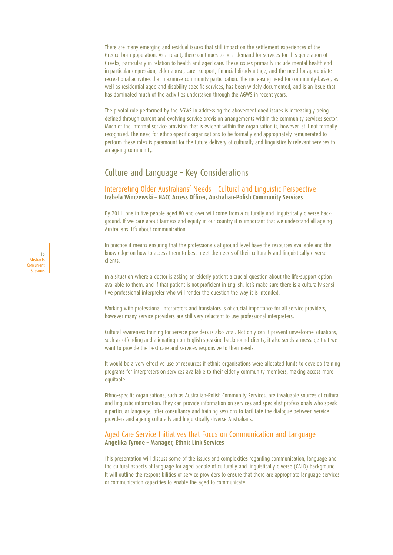There are many emerging and residual issues that still impact on the settlement experiences of the Greece-born population. As a result, there continues to be a demand for services for this generation of Greeks, particularly in relation to health and aged care. These issues primarily include mental health and in particular depression, elder abuse, carer support, financial disadvantage, and the need for appropriate recreational activities that maximise community participation. The increasing need for community-based, as well as residential aged and disability-specific services, has been widely documented, and is an issue that has dominated much of the activities undertaken through the AGWS in recent years.

The pivotal role performed by the AGWS in addressing the abovementioned issues is increasingly being defined through current and evolving service provision arrangements within the community services sector. Much of the informal service provision that is evident within the organisation is, however, still not formally recognised. The need for ethno-specific organisations to be formally and appropriately remunerated to perform these roles is paramount for the future delivery of culturally and linguistically relevant services to an ageing community.

# Culture and Language – Key Considerations

### Interpreting Older Australians' Needs – Cultural and Linguistic Perspective **Izabela Winczewski – HACC Access Officer, Australian-Polish Community Services**

By 2011, one in five people aged 80 and over will come from a culturally and linguistically diverse background. If we care about fairness and equity in our country it is important that we understand all ageing Australians. It's about communication.

In practice it means ensuring that the professionals at ground level have the resources available and the knowledge on how to access them to best meet the needs of their culturally and linguistically diverse clients.

In a situation where a doctor is asking an elderly patient a crucial question about the life-support option available to them, and if that patient is not proficient in English, let's make sure there is a culturally sensitive professional interpreter who will render the question the way it is intended.

Working with professional interpreters and translators is of crucial importance for all service providers, however many service providers are still very reluctant to use professional interpreters.

Cultural awareness training for service providers is also vital. Not only can it prevent unwelcome situations, such as offending and alienating non-English speaking background clients, it also sends a message that we want to provide the best care and services responsive to their needs.

It would be a very effective use of resources if ethnic organisations were allocated funds to develop training programs for interpreters on services available to their elderly community members, making access more equitable.

Ethno-specific organisations, such as Australian-Polish Community Services, are invaluable sources of cultural and linguistic information. They can provide information on services and specialist professionals who speak a particular language, offer consultancy and training sessions to facilitate the dialogue between service providers and ageing culturally and linguistically diverse Australians.

### Aged Care Service Initiatives that Focus on Communication and Language **Angelika Tyrone – Manager, Ethnic Link Services**

This presentation will discuss some of the issues and complexities regarding communication, language and the cultural aspects of language for aged people of culturally and linguistically diverse (CALD) background. It will outline the responsibilities of service providers to ensure that there are appropriate language services or communication capacities to enable the aged to communicate.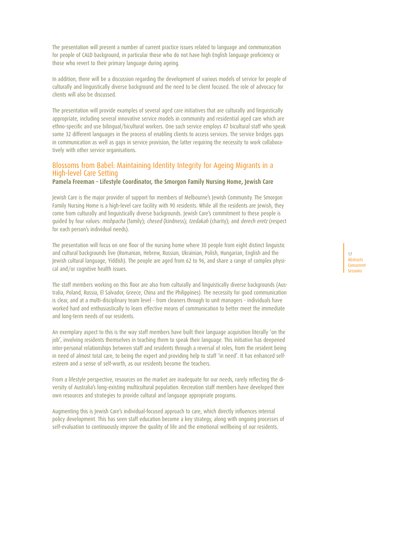The presentation will present a number of current practice issues related to language and communication for people of CALD background, in particular those who do not have high English language proficiency or those who revert to their primary language during ageing.

In addition, there will be a discussion regarding the development of various models of service for people of culturally and linguistically diverse background and the need to be client focused. The role of advocacy for clients will also be discussed.

The presentation will provide examples of several aged care initiatives that are culturally and linguistically appropriate, including several innovative service models in community and residential aged care which are ethno-specific and use bilingual/bicultural workers. One such service employs 47 bicultural staff who speak some 32 different languages in the process of enabling clients to access services. The service bridges gaps in communication as well as gaps in service provision, the latter requiring the necessity to work collaboratively with other service organisations.

# Blossoms from Babel: Maintaining Identity Integrity for Ageing Migrants in a High-level Care Setting

**Pamela Freeman – Lifestyle Coordinator, the Smorgon Family Nursing Home, Jewish Care**

Jewish Care is the major provider of support for members of Melbourne's Jewish Community. The Smorgon Family Nursing Home is a high-level care facility with 90 residents. While all the residents are Jewish, they come from culturally and linguistically diverse backgrounds. Jewish Care's commitment to these people is quided by four values: mishpacha (family); chesed (kindness); tzedakah (charity); and derech eretz (respect for each person's individual needs).

The presentation will focus on one floor of the nursing home where 30 people from eight distinct linguistic and cultural backgrounds live (Romanian, Hebrew, Russian, Ukrainian, Polish, Hungarian, English and the Jewish cultural language, Yiddish). The people are aged from 62 to 96, and share a range of complex physical and/or cognitive health issues.

The staff members working on this floor are also from culturally and linguistically diverse backgrounds (Australia, Poland, Russia, El Salvador, Greece, China and the Philippines). The necessity for good communication is clear, and at a multi-disciplinary team level - from cleaners through to unit managers - individuals have worked hard and enthusiastically to learn effective means of communication to better meet the immediate and long-term needs of our residents.

An exemplary aspect to this is the way staff members have built their language acquisition literally 'on the job', involving residents themselves in teaching them to speak their language. This initiative has deepened inter-personal relationships between staff and residents through a reversal of roles, from the resident being in need of almost total care, to being the expert and providing help to staff 'in need'. It has enhanced selfesteem and a sense of self-worth, as our residents become the teachers.

From a lifestyle perspective, resources on the market are inadequate for our needs, rarely reflecting the diversity of Australia's long-existing multicultural population. Recreation staff members have developed their own resources and strategies to provide cultural and language appropriate programs.

Augmenting this is Jewish Care's individual-focused approach to care, which directly influences internal policy development. This has seen staff education become a key strategy, along with ongoing processes of self-evaluation to continuously improve the quality of life and the emotional wellbeing of our residents.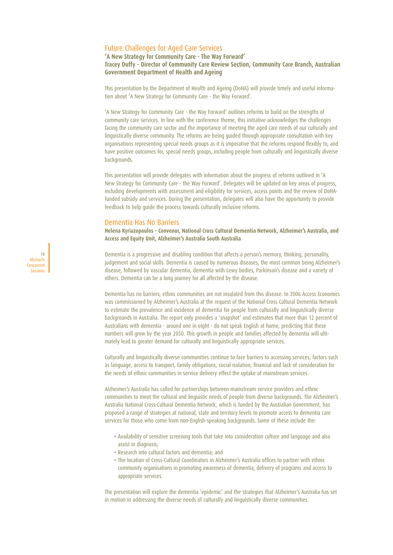# Future Challenges for Aged Care Services

### **'A New Strategy for Community Care - The Way Forward' Tracey Duffy – Director of Community Care Review Section, Community Care Branch, Australian Government Department of Health and Ageing**

This presentation by the Department of Health and Ageing (DoHA) will provide timely and useful information about 'A New Strategy for Community Care - the Way Forward'.

'A New Strategy for Community Care - the Way Forward' outlines reforms to build on the strengths of community care services. In line with the conference theme, this initiative acknowledges the challenges facing the community care sector and the importance of meeting the aged care needs of our culturally and linguistically diverse community. The reforms are being guided through appropriate consultation with key organisations representing special needs groups as it is imperative that the reforms respond flexibly to, and have positive outcomes for, special needs groups, including people from culturally and linguistically diverse backgrounds.

This presentation will provide delegates with information about the progress of reforms outlined in 'A New Strategy for Community Care - the Way Forward'. Delegates will be updated on key areas of progress, including developments with assessment and eligibility for services, access points and the review of DoHAfunded subsidy and services. During the presentation, delegates will also have the opportunity to provide feedback to help guide the process towards culturally inclusive reforms.

### Dementia Has No Barriers

**Helena Kyriazopoulos – Convenor, National Cross Cultural Dementia Network, Alzheimer's Australia, and Access and Equity Unit, Alzheimer's Australia South Australia**

Dementia is a progressive and disabling condition that affects a person's memory, thinking, personality, judgement and social skills. Dementia is caused by numerous diseases, the most common being Alzheimer's disease, followed by vascular dementia, dementia with Lewy bodies, Parkinson's disease and a variety of others. Dementia can be a long journey for all affected by the disease.

Dementia has no barriers; ethnic communities are not insulated from this disease. In 2006 Access Economics was commissioned by Alzheimer's Australia at the request of the National Cross Cultural Dementia Network to estimate the prevalence and incidence of dementia for people from culturally and linguistically diverse backgrounds in Australia. The report only provides a 'snapshot' and estimates that more than 12 percent of Australians with dementia - around one in eight - do not speak English at home, predicting that these numbers will grow by the year 2050. This growth in people and families affected by dementia will ultimately lead to greater demand for culturally and linguistically appropriate services.

Culturally and linguistically diverse communities continue to face barriers to accessing services; factors such as language, access to transport, family obligations, social isolation, financial and lack of consideration for the needs of ethnic communities in service delivery effect the uptake of mainstream services.

Alzheimer's Australia has called for partnerships between mainstream service providers and ethnic communities to meet the cultural and linguistic needs of people from diverse backgrounds. The Alzheimer's Australia National Cross-Cultural Dementia Network, which is funded by the Australian Government, has proposed a range of strategies at national, state and territory levels to promote access to dementia care services for those who come from non-English-speaking backgrounds. Some of these include the:

- Availability of sensitive screening tools that take into consideration culture and language and also assist in diagnosis;
- Research into cultural factors and dementia; and
- The location of Cross-Cultural Coordinators in Alzheimer's Australia offices to partner with ethnic community organisations in promoting awareness of dementia, delivery of programs and access to appropriate services.

The presentation will explore the dementia 'epidemic' and the strategies that Alzheimer's Australia has set in motion in addressing the diverse needs of culturally and linguistically diverse communities.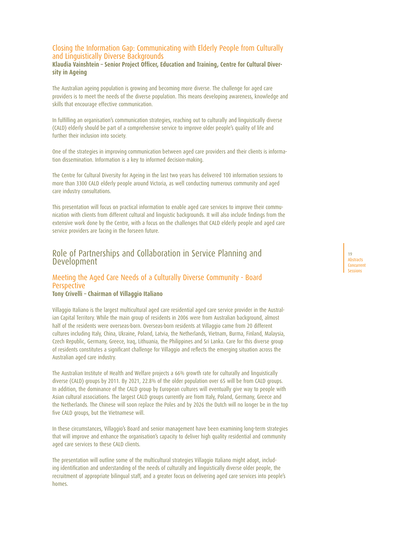## Closing the Information Gap: Communicating with Elderly People from Culturally and Linguistically Diverse Backgrounds

**Klaudia Vainshtein – Senior Project Officer, Education and Training, Centre for Cultural Diversity in Ageing**

The Australian ageing population is growing and becoming more diverse. The challenge for aged care providers is to meet the needs of the diverse population. This means developing awareness, knowledge and skills that encourage effective communication.

In fulfilling an organisation's communication strategies, reaching out to culturally and linguistically diverse (CALD) elderly should be part of a comprehensive service to improve older people's quality of life and further their inclusion into society.

One of the strategies in improving communication between aged care providers and their clients is information dissemination. Information is a key to informed decision-making.

The Centre for Cultural Diversity for Ageing in the last two years has delivered 100 information sessions to more than 3300 CALD elderly people around Victoria, as well conducting numerous community and aged care industry consultations.

This presentation will focus on practical information to enable aged care services to improve their communication with clients from different cultural and linguistic backgrounds. It will also include findings from the extensive work done by the Centre, with a focus on the challenges that CALD elderly people and aged care service providers are facing in the forseen future.

## Role of Partnerships and Collaboration in Service Planning and Development

# Meeting the Aged Care Needs of a Culturally Diverse Community - Board **Perspective**

### **Tony Crivelli – Chairman of Villaggio Italiano**

Villaggio Italiano is the largest multicultural aged care residential aged care service provider in the Australian Capital Territory. While the main group of residents in 2006 were from Australian background, almost half of the residents were overseas-born. Overseas-born residents at Villaggio came from 20 different cultures including Italy, China, Ukraine, Poland, Latvia, the Netherlands, Vietnam, Burma, Finland, Malaysia, Czech Republic, Germany, Greece, Iraq, Lithuania, the Philippines and Sri Lanka. Care for this diverse group of residents constitutes a significant challenge for Villaggio and reflects the emerging situation across the Australian aged care industry.

The Australian Institute of Health and Welfare projects a 66% growth rate for culturally and linguistically diverse (CALD) groups by 2011. By 2021, 22.8% of the older population over 65 will be from CALD groups. In addition, the dominance of the CALD group by European cultures will eventually give way to people with Asian cultural associations. The largest CALD groups currently are from Italy, Poland, Germany, Greece and the Netherlands. The Chinese will soon replace the Poles and by 2026 the Dutch will no longer be in the top five CALD groups, but the Vietnamese will.

In these circumstances, Villaggio's Board and senior management have been examining long-term strategies that will improve and enhance the organisation's capacity to deliver high quality residential and community aged care services to these CALD clients.

The presentation will outline some of the multicultural strategies Villaggio Italiano might adopt, including identification and understanding of the needs of culturally and linguistically diverse older people, the recruitment of appropriate bilingual staff, and a greater focus on delivering aged care services into people's homes.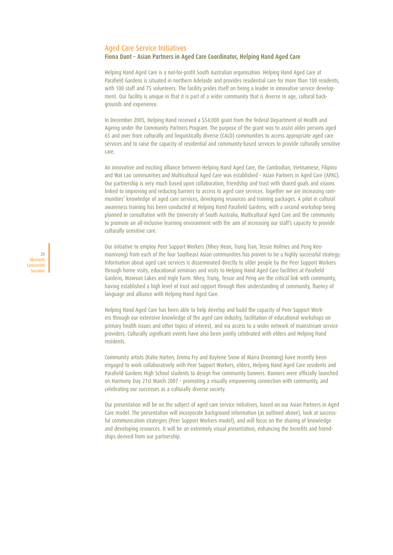#### Aged Care Service Initiatives

### **Fiona Dunt – Asian Partners in Aged Care Coordinator, Helping Hand Aged Care**

Helping Hand Aged Care is a not-for-profit South Australian organisation. Helping Hand Aged Care at Parafield Gardens is situated in northern Adelaide and provides residential care for more than 100 residents, with 100 staff and 75 volunteers. The facility prides itself on being a leader in innovative service development. Our facility is unique in that it is part of a wider community that is diverse in age, cultural backgrounds and experience.

In December 2005, Helping Hand received a \$54,000 grant from the federal Department of Health and Ageing under the Community Partners Program. The purpose of the grant was to assist older persons aged 65 and over from culturally and linguistically diverse (CALD) communities to access appropriate aged care services and to raise the capacity of residential and community-based services to provide culturally sensitive care.

An innovative and exciting alliance between Helping Hand Aged Care, the Cambodian, Vietnamese, Filipino and Wat Lao communities and Multicultural Aged Care was established - Asian Partners in Aged Care (APAC). Our partnership is very much based upon collaboration, friendship and trust with shared goals and visions linked to improving and reducing barriers to access to aged care services. Together we are increasing communities' knowledge of aged care services, developing resources and training packages. A pilot in cultural awareness training has been conducted at Helping Hand Parafield Gardens, with a second workshop being planned in consultation with the University of South Australia, Multicultural Aged Care and the community to promote an all-inclusive learning environment with the aim of increasing our staff's capacity to provide culturally sensitive care.

Our initiative to employ Peer Support Workers (Nhey Hean, Trung Tran, Tessie Holmes and Peng Keomanivong) from each of the four Southeast Asian communities has proven to be a highly successful strategy. Information about aged care services is disseminated directly to older people by the Peer Support Workers through home visits, educational seminars and visits to Helping Hand Aged Care facilities at Parafield Gardens, Mawson Lakes and Ingle Farm. Nhey, Trung, Tessie and Peng are the critical link with community, having established a high level of trust and rapport through their understanding of community, fluency of language and alliance with Helping Hand Aged Care.

Helping Hand Aged Care has been able to help develop and build the capacity of Peer Support Workers through our extensive knowledge of the aged care industry, facilitation of educational workshops on primary health issues and other topics of interest, and via access to a wider network of mainstream service providers. Culturally significant events have also been jointly celebrated with elders and Helping Hand residents.

Community artists (Katie Harten, Emma Fry and Raylene Snow of Marra Dreaming) have recently been engaged to work collaboratively with Peer Support Workers, elders, Helping Hand Aged Care residents and Parafield Gardens High School students to design five community banners. Banners were officially launched on Harmony Day 21st March 2007 - promoting a visually empowering connection with community, and celebrating our successes as a culturally diverse society.

Our presentation will be on the subject of aged care service initiatives, based on our Asian Partners in Aged Care model. The presentation will incorporate background information (as outlined above), look at successful communication strategies (Peer Support Workers model), and will focus on the sharing of knowledge and developing resources. It will be an extremely visual presentation, enhancing the benefits and friendships derived from our partnership.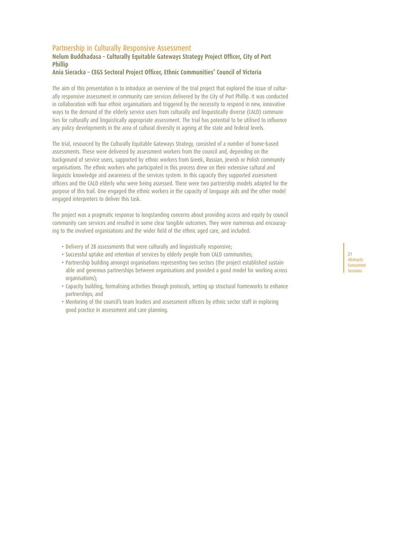## Partnership in Culturally Responsive Assessment

## **Nelum Buddhadasa – Culturally Equitable Gateways Strategy Project Officer, City of Port Phillip**

## **Ania Sieracka – CEGS Sectoral Project Officer, Ethnic Communities' Council of Victoria**

The aim of this presentation is to introduce an overview of the trial project that explored the issue of culturally responsive assessment in community care services delivered by the City of Port Phillip. It was conducted in collaboration with four ethnic organisations and triggered by the necessity to respond in new, innovative ways to the demand of the elderly service users from culturally and linguistically diverse (CALD) communities for culturally and linguistically appropriate assessment. The trial has potential to be utilised to influence any policy developments in the area of cultural diversity in ageing at the state and federal levels.

The trial, resourced by the Culturally Equitable Gateways Strategy, consisted of a number of home-based assessments. These were delivered by assessment workers from the council and, depending on the background of service users, supported by ethnic workers from Greek, Russian, Jewish or Polish community organisations. The ethnic workers who participated in this process drew on their extensive cultural and linguistic knowledge and awareness of the services system. In this capacity they supported assessment officers and the CALD elderly who were being assessed. There were two partnership models adapted for the purpose of this trail. One engaged the ethnic workers in the capacity of language aids and the other model engaged interpreters to deliver this task.

The project was a pragmatic response to longstanding concerns about providing access and equity by council community care services and resulted in some clear tangible outcomes. They were numerous and encouraging to the involved organisations and the wider field of the ethnic aged care, and included:

- Delivery of 28 assessments that were culturally and linguistically responsive;
- Successful uptake and retention of services by elderly people from CALD communities;
- Partnership building amongst organisations representing two sectors (the project established sustain able and generous partnerships between organisations and provided a good model for working across organisations);
- Capacity building, formalising activities through protocols, setting up structural frameworks to enhance partnerships; and
- Mentoring of the council's team leaders and assessment officers by ethnic sector staff in exploring good practice in assessment and care planning.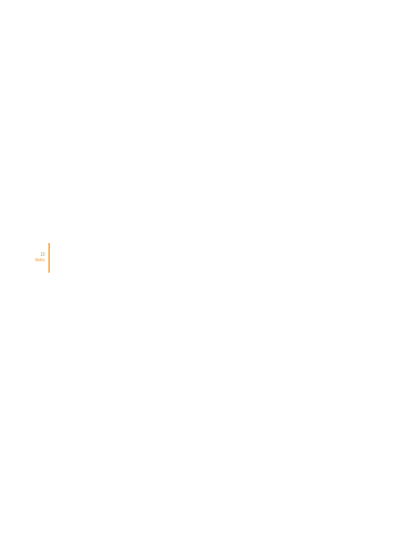22 Notes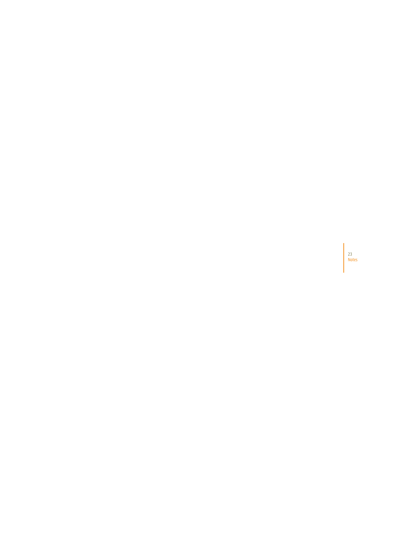23 Notes